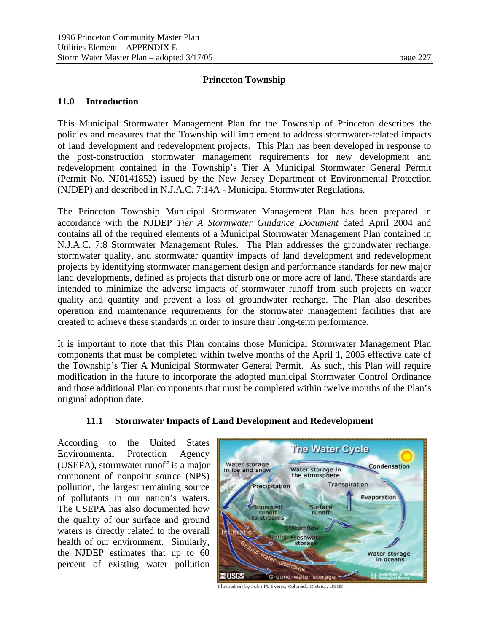### **Princeton Township**

#### **11.0 Introduction**

This Municipal Stormwater Management Plan for the Township of Princeton describes the policies and measures that the Township will implement to address stormwater-related impacts of land development and redevelopment projects. This Plan has been developed in response to the post-construction stormwater management requirements for new development and redevelopment contained in the Township's Tier A Municipal Stormwater General Permit (Permit No. NJ0141852) issued by the New Jersey Department of Environmental Protection (NJDEP) and described in N.J.A.C. 7:14A - Municipal Stormwater Regulations.

The Princeton Township Municipal Stormwater Management Plan has been prepared in accordance with the NJDEP *Tier A Stormwater Guidance Document* dated April 2004 and contains all of the required elements of a Municipal Stormwater Management Plan contained in N.J.A.C. 7:8 Stormwater Management Rules. The Plan addresses the groundwater recharge, stormwater quality, and stormwater quantity impacts of land development and redevelopment projects by identifying stormwater management design and performance standards for new major land developments, defined as projects that disturb one or more acre of land. These standards are intended to minimize the adverse impacts of stormwater runoff from such projects on water quality and quantity and prevent a loss of groundwater recharge. The Plan also describes operation and maintenance requirements for the stormwater management facilities that are created to achieve these standards in order to insure their long-term performance.

It is important to note that this Plan contains those Municipal Stormwater Management Plan components that must be completed within twelve months of the April 1, 2005 effective date of the Township's Tier A Municipal Stormwater General Permit. As such, this Plan will require modification in the future to incorporate the adopted municipal Stormwater Control Ordinance and those additional Plan components that must be completed within twelve months of the Plan's original adoption date.

#### **11.1 Stormwater Impacts of Land Development and Redevelopment**

According to the United States Environmental Protection Agency (USEPA), stormwater runoff is a major component of nonpoint source (NPS) pollution, the largest remaining source of pollutants in our nation's waters. The USEPA has also documented how the quality of our surface and ground waters is directly related to the overall health of our environment. Similarly, the NJDEP estimates that up to 60 percent of existing water pollution



Illustration by John M. Evans, Colorado District, USGS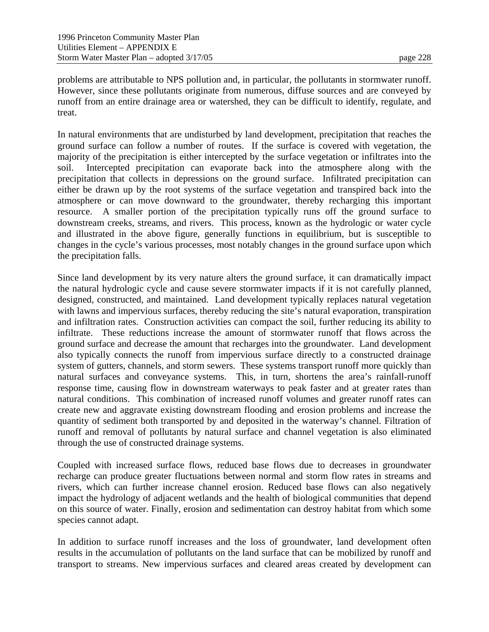problems are attributable to NPS pollution and, in particular, the pollutants in stormwater runoff. However, since these pollutants originate from numerous, diffuse sources and are conveyed by runoff from an entire drainage area or watershed, they can be difficult to identify, regulate, and treat.

In natural environments that are undisturbed by land development, precipitation that reaches the ground surface can follow a number of routes. If the surface is covered with vegetation, the majority of the precipitation is either intercepted by the surface vegetation or infiltrates into the soil. Intercepted precipitation can evaporate back into the atmosphere along with the precipitation that collects in depressions on the ground surface. Infiltrated precipitation can either be drawn up by the root systems of the surface vegetation and transpired back into the atmosphere or can move downward to the groundwater, thereby recharging this important resource. A smaller portion of the precipitation typically runs off the ground surface to downstream creeks, streams, and rivers. This process, known as the hydrologic or water cycle and illustrated in the above figure, generally functions in equilibrium, but is susceptible to changes in the cycle's various processes, most notably changes in the ground surface upon which the precipitation falls.

Since land development by its very nature alters the ground surface, it can dramatically impact the natural hydrologic cycle and cause severe stormwater impacts if it is not carefully planned, designed, constructed, and maintained. Land development typically replaces natural vegetation with lawns and impervious surfaces, thereby reducing the site's natural evaporation, transpiration and infiltration rates. Construction activities can compact the soil, further reducing its ability to infiltrate. These reductions increase the amount of stormwater runoff that flows across the ground surface and decrease the amount that recharges into the groundwater. Land development also typically connects the runoff from impervious surface directly to a constructed drainage system of gutters, channels, and storm sewers. These systems transport runoff more quickly than natural surfaces and conveyance systems. This, in turn, shortens the area's rainfall-runoff response time, causing flow in downstream waterways to peak faster and at greater rates than natural conditions. This combination of increased runoff volumes and greater runoff rates can create new and aggravate existing downstream flooding and erosion problems and increase the quantity of sediment both transported by and deposited in the waterway's channel. Filtration of runoff and removal of pollutants by natural surface and channel vegetation is also eliminated through the use of constructed drainage systems.

Coupled with increased surface flows, reduced base flows due to decreases in groundwater recharge can produce greater fluctuations between normal and storm flow rates in streams and rivers, which can further increase channel erosion. Reduced base flows can also negatively impact the hydrology of adjacent wetlands and the health of biological communities that depend on this source of water. Finally, erosion and sedimentation can destroy habitat from which some species cannot adapt.

In addition to surface runoff increases and the loss of groundwater, land development often results in the accumulation of pollutants on the land surface that can be mobilized by runoff and transport to streams. New impervious surfaces and cleared areas created by development can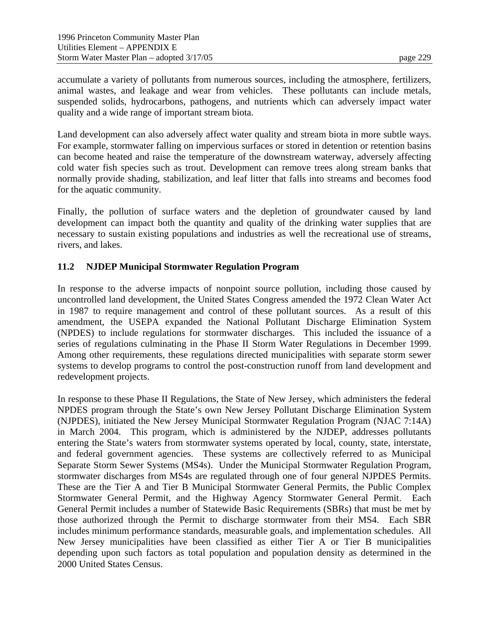accumulate a variety of pollutants from numerous sources, including the atmosphere, fertilizers, animal wastes, and leakage and wear from vehicles. These pollutants can include metals, suspended solids, hydrocarbons, pathogens, and nutrients which can adversely impact water quality and a wide range of important stream biota.

Land development can also adversely affect water quality and stream biota in more subtle ways. For example, stormwater falling on impervious surfaces or stored in detention or retention basins can become heated and raise the temperature of the downstream waterway, adversely affecting cold water fish species such as trout. Development can remove trees along stream banks that normally provide shading, stabilization, and leaf litter that falls into streams and becomes food for the aquatic community.

Finally, the pollution of surface waters and the depletion of groundwater caused by land development can impact both the quantity and quality of the drinking water supplies that are necessary to sustain existing populations and industries as well the recreational use of streams, rivers, and lakes.

## **11.2 NJDEP Municipal Stormwater Regulation Program**

In response to the adverse impacts of nonpoint source pollution, including those caused by uncontrolled land development, the United States Congress amended the 1972 Clean Water Act in 1987 to require management and control of these pollutant sources. As a result of this amendment, the USEPA expanded the National Pollutant Discharge Elimination System (NPDES) to include regulations for stormwater discharges. This included the issuance of a series of regulations culminating in the Phase II Storm Water Regulations in December 1999. Among other requirements, these regulations directed municipalities with separate storm sewer systems to develop programs to control the post-construction runoff from land development and redevelopment projects.

In response to these Phase II Regulations, the State of New Jersey, which administers the federal NPDES program through the State's own New Jersey Pollutant Discharge Elimination System (NJPDES), initiated the New Jersey Municipal Stormwater Regulation Program (NJAC 7:14A) in March 2004. This program, which is administered by the NJDEP, addresses pollutants entering the State's waters from stormwater systems operated by local, county, state, interstate, and federal government agencies. These systems are collectively referred to as Municipal Separate Storm Sewer Systems (MS4s). Under the Municipal Stormwater Regulation Program, stormwater discharges from MS4s are regulated through one of four general NJPDES Permits. These are the Tier A and Tier B Municipal Stormwater General Permits, the Public Complex Stormwater General Permit, and the Highway Agency Stormwater General Permit. Each General Permit includes a number of Statewide Basic Requirements (SBRs) that must be met by those authorized through the Permit to discharge stormwater from their MS4. Each SBR includes minimum performance standards, measurable goals, and implementation schedules. All New Jersey municipalities have been classified as either Tier A or Tier B municipalities depending upon such factors as total population and population density as determined in the 2000 United States Census.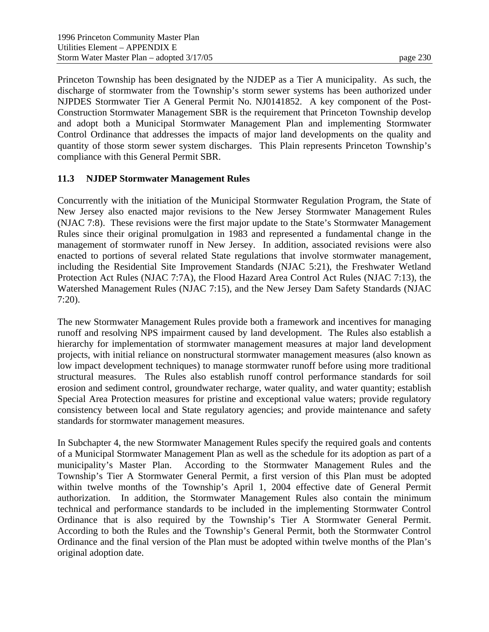Princeton Township has been designated by the NJDEP as a Tier A municipality. As such, the discharge of stormwater from the Township's storm sewer systems has been authorized under NJPDES Stormwater Tier A General Permit No. NJ0141852. A key component of the Post-Construction Stormwater Management SBR is the requirement that Princeton Township develop and adopt both a Municipal Stormwater Management Plan and implementing Stormwater Control Ordinance that addresses the impacts of major land developments on the quality and quantity of those storm sewer system discharges. This Plain represents Princeton Township's compliance with this General Permit SBR.

## **11.3 NJDEP Stormwater Management Rules**

Concurrently with the initiation of the Municipal Stormwater Regulation Program, the State of New Jersey also enacted major revisions to the New Jersey Stormwater Management Rules (NJAC 7:8). These revisions were the first major update to the State's Stormwater Management Rules since their original promulgation in 1983 and represented a fundamental change in the management of stormwater runoff in New Jersey. In addition, associated revisions were also enacted to portions of several related State regulations that involve stormwater management, including the Residential Site Improvement Standards (NJAC 5:21), the Freshwater Wetland Protection Act Rules (NJAC 7:7A), the Flood Hazard Area Control Act Rules (NJAC 7:13), the Watershed Management Rules (NJAC 7:15), and the New Jersey Dam Safety Standards (NJAC 7:20).

The new Stormwater Management Rules provide both a framework and incentives for managing runoff and resolving NPS impairment caused by land development. The Rules also establish a hierarchy for implementation of stormwater management measures at major land development projects, with initial reliance on nonstructural stormwater management measures (also known as low impact development techniques) to manage stormwater runoff before using more traditional structural measures. The Rules also establish runoff control performance standards for soil erosion and sediment control, groundwater recharge, water quality, and water quantity; establish Special Area Protection measures for pristine and exceptional value waters; provide regulatory consistency between local and State regulatory agencies; and provide maintenance and safety standards for stormwater management measures.

In Subchapter 4, the new Stormwater Management Rules specify the required goals and contents of a Municipal Stormwater Management Plan as well as the schedule for its adoption as part of a municipality's Master Plan. According to the Stormwater Management Rules and the Township's Tier A Stormwater General Permit, a first version of this Plan must be adopted within twelve months of the Township's April 1, 2004 effective date of General Permit authorization. In addition, the Stormwater Management Rules also contain the minimum technical and performance standards to be included in the implementing Stormwater Control Ordinance that is also required by the Township's Tier A Stormwater General Permit. According to both the Rules and the Township's General Permit, both the Stormwater Control Ordinance and the final version of the Plan must be adopted within twelve months of the Plan's original adoption date.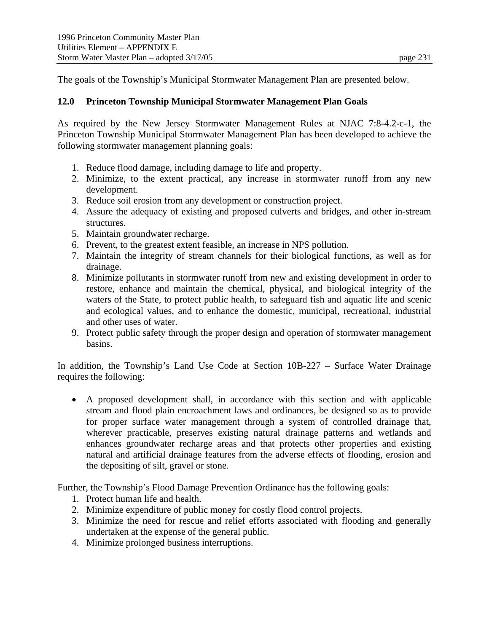The goals of the Township's Municipal Stormwater Management Plan are presented below.

# **12.0 Princeton Township Municipal Stormwater Management Plan Goals**

As required by the New Jersey Stormwater Management Rules at NJAC 7:8-4.2-c-1, the Princeton Township Municipal Stormwater Management Plan has been developed to achieve the following stormwater management planning goals:

- 1. Reduce flood damage, including damage to life and property.
- 2. Minimize, to the extent practical, any increase in stormwater runoff from any new development.
- 3. Reduce soil erosion from any development or construction project.
- 4. Assure the adequacy of existing and proposed culverts and bridges, and other in-stream structures.
- 5. Maintain groundwater recharge.
- 6. Prevent, to the greatest extent feasible, an increase in NPS pollution.
- 7. Maintain the integrity of stream channels for their biological functions, as well as for drainage.
- 8. Minimize pollutants in stormwater runoff from new and existing development in order to restore, enhance and maintain the chemical, physical, and biological integrity of the waters of the State, to protect public health, to safeguard fish and aquatic life and scenic and ecological values, and to enhance the domestic, municipal, recreational, industrial and other uses of water.
- 9. Protect public safety through the proper design and operation of stormwater management basins.

In addition, the Township's Land Use Code at Section 10B-227 – Surface Water Drainage requires the following:

 A proposed development shall, in accordance with this section and with applicable stream and flood plain encroachment laws and ordinances, be designed so as to provide for proper surface water management through a system of controlled drainage that, wherever practicable, preserves existing natural drainage patterns and wetlands and enhances groundwater recharge areas and that protects other properties and existing natural and artificial drainage features from the adverse effects of flooding, erosion and the depositing of silt, gravel or stone.

Further, the Township's Flood Damage Prevention Ordinance has the following goals:

- 1. Protect human life and health.
- 2. Minimize expenditure of public money for costly flood control projects.
- 3. Minimize the need for rescue and relief efforts associated with flooding and generally undertaken at the expense of the general public.
- 4. Minimize prolonged business interruptions.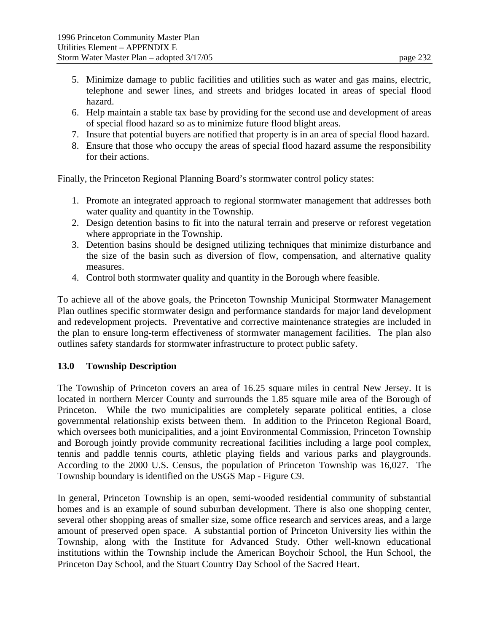- 6. Help maintain a stable tax base by providing for the second use and development of areas of special flood hazard so as to minimize future flood blight areas.
- 7. Insure that potential buyers are notified that property is in an area of special flood hazard.
- 8. Ensure that those who occupy the areas of special flood hazard assume the responsibility for their actions.

Finally, the Princeton Regional Planning Board's stormwater control policy states:

- 1. Promote an integrated approach to regional stormwater management that addresses both water quality and quantity in the Township.
- 2. Design detention basins to fit into the natural terrain and preserve or reforest vegetation where appropriate in the Township.
- 3. Detention basins should be designed utilizing techniques that minimize disturbance and the size of the basin such as diversion of flow, compensation, and alternative quality measures.
- 4. Control both stormwater quality and quantity in the Borough where feasible.

To achieve all of the above goals, the Princeton Township Municipal Stormwater Management Plan outlines specific stormwater design and performance standards for major land development and redevelopment projects. Preventative and corrective maintenance strategies are included in the plan to ensure long-term effectiveness of stormwater management facilities. The plan also outlines safety standards for stormwater infrastructure to protect public safety.

# **13.0 Township Description**

The Township of Princeton covers an area of 16.25 square miles in central New Jersey. It is located in northern Mercer County and surrounds the 1.85 square mile area of the Borough of Princeton. While the two municipalities are completely separate political entities, a close governmental relationship exists between them. In addition to the Princeton Regional Board, which oversees both municipalities, and a joint Environmental Commission, Princeton Township and Borough jointly provide community recreational facilities including a large pool complex, tennis and paddle tennis courts, athletic playing fields and various parks and playgrounds. According to the 2000 U.S. Census, the population of Princeton Township was 16,027. The Township boundary is identified on the USGS Map - Figure C9.

In general, Princeton Township is an open, semi-wooded residential community of substantial homes and is an example of sound suburban development. There is also one shopping center, several other shopping areas of smaller size, some office research and services areas, and a large amount of preserved open space. A substantial portion of Princeton University lies within the Township, along with the Institute for Advanced Study. Other well-known educational institutions within the Township include the American Boychoir School, the Hun School, the Princeton Day School, and the Stuart Country Day School of the Sacred Heart.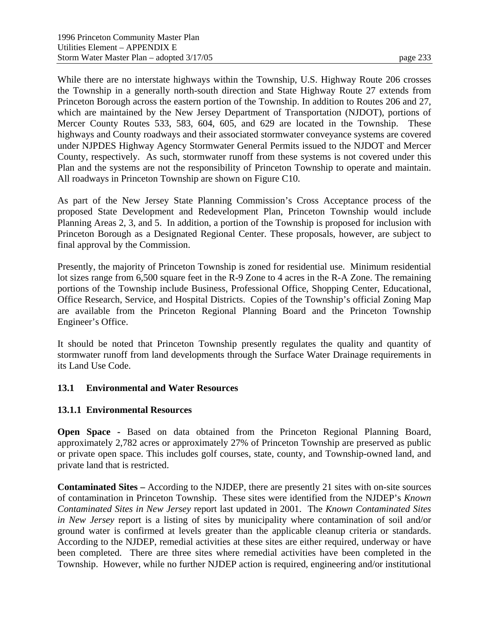While there are no interstate highways within the Township, U.S. Highway Route 206 crosses the Township in a generally north-south direction and State Highway Route 27 extends from Princeton Borough across the eastern portion of the Township. In addition to Routes 206 and 27, which are maintained by the New Jersey Department of Transportation (NJDOT), portions of Mercer County Routes 533, 583, 604, 605, and 629 are located in the Township. These highways and County roadways and their associated stormwater conveyance systems are covered under NJPDES Highway Agency Stormwater General Permits issued to the NJDOT and Mercer County, respectively. As such, stormwater runoff from these systems is not covered under this Plan and the systems are not the responsibility of Princeton Township to operate and maintain. All roadways in Princeton Township are shown on Figure C10.

As part of the New Jersey State Planning Commission's Cross Acceptance process of the proposed State Development and Redevelopment Plan, Princeton Township would include Planning Areas 2, 3, and 5. In addition, a portion of the Township is proposed for inclusion with Princeton Borough as a Designated Regional Center. These proposals, however, are subject to final approval by the Commission.

Presently, the majority of Princeton Township is zoned for residential use. Minimum residential lot sizes range from 6,500 square feet in the R-9 Zone to 4 acres in the R-A Zone. The remaining portions of the Township include Business, Professional Office, Shopping Center, Educational, Office Research, Service, and Hospital Districts. Copies of the Township's official Zoning Map are available from the Princeton Regional Planning Board and the Princeton Township Engineer's Office.

It should be noted that Princeton Township presently regulates the quality and quantity of stormwater runoff from land developments through the Surface Water Drainage requirements in its Land Use Code.

# **13.1 Environmental and Water Resources**

### **13.1.1 Environmental Resources**

**Open Space -** Based on data obtained from the Princeton Regional Planning Board, approximately 2,782 acres or approximately 27% of Princeton Township are preserved as public or private open space. This includes golf courses, state, county, and Township-owned land, and private land that is restricted.

**Contaminated Sites –** According to the NJDEP, there are presently 21 sites with on-site sources of contamination in Princeton Township. These sites were identified from the NJDEP's *Known Contaminated Sites in New Jersey* report last updated in 2001. The *Known Contaminated Sites in New Jersey* report is a listing of sites by municipality where contamination of soil and/or ground water is confirmed at levels greater than the applicable cleanup criteria or standards. According to the NJDEP, remedial activities at these sites are either required, underway or have been completed. There are three sites where remedial activities have been completed in the Township. However, while no further NJDEP action is required, engineering and/or institutional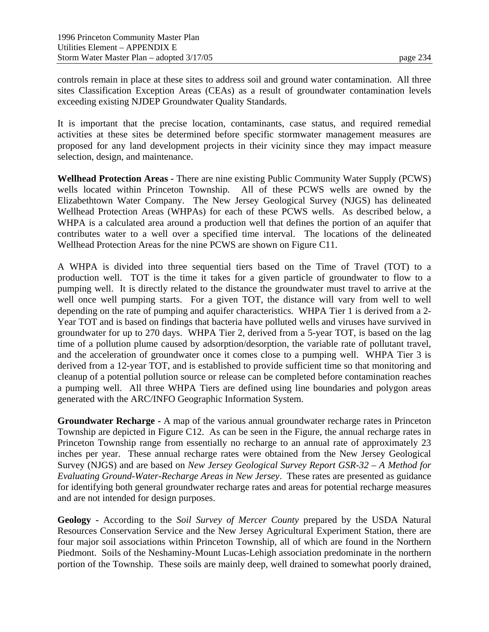controls remain in place at these sites to address soil and ground water contamination. All three sites Classification Exception Areas (CEAs) as a result of groundwater contamination levels exceeding existing NJDEP Groundwater Quality Standards.

It is important that the precise location, contaminants, case status, and required remedial activities at these sites be determined before specific stormwater management measures are proposed for any land development projects in their vicinity since they may impact measure selection, design, and maintenance.

**Wellhead Protection Areas -** There are nine existing Public Community Water Supply (PCWS) wells located within Princeton Township. All of these PCWS wells are owned by the Elizabethtown Water Company. The New Jersey Geological Survey (NJGS) has delineated Wellhead Protection Areas (WHPAs) for each of these PCWS wells. As described below, a WHPA is a calculated area around a production well that defines the portion of an aquifer that contributes water to a well over a specified time interval. The locations of the delineated Wellhead Protection Areas for the nine PCWS are shown on Figure C11.

A WHPA is divided into three sequential tiers based on the Time of Travel (TOT) to a production well. TOT is the time it takes for a given particle of groundwater to flow to a pumping well. It is directly related to the distance the groundwater must travel to arrive at the well once well pumping starts. For a given TOT, the distance will vary from well to well depending on the rate of pumping and aquifer characteristics. WHPA Tier 1 is derived from a 2- Year TOT and is based on findings that bacteria have polluted wells and viruses have survived in groundwater for up to 270 days. WHPA Tier 2, derived from a 5-year TOT, is based on the lag time of a pollution plume caused by adsorption/desorption, the variable rate of pollutant travel, and the acceleration of groundwater once it comes close to a pumping well. WHPA Tier 3 is derived from a 12-year TOT, and is established to provide sufficient time so that monitoring and cleanup of a potential pollution source or release can be completed before contamination reaches a pumping well. All three WHPA Tiers are defined using line boundaries and polygon areas generated with the ARC/INFO Geographic Information System.

**Groundwater Recharge -** A map of the various annual groundwater recharge rates in Princeton Township are depicted in Figure C12. As can be seen in the Figure, the annual recharge rates in Princeton Township range from essentially no recharge to an annual rate of approximately 23 inches per year. These annual recharge rates were obtained from the New Jersey Geological Survey (NJGS) and are based on *New Jersey Geological Survey Report GSR-32 – A Method for Evaluating Ground-Water-Recharge Areas in New Jersey*. These rates are presented as guidance for identifying both general groundwater recharge rates and areas for potential recharge measures and are not intended for design purposes.

**Geology -** According to the *Soil Survey of Mercer County* prepared by the USDA Natural Resources Conservation Service and the New Jersey Agricultural Experiment Station, there are four major soil associations within Princeton Township, all of which are found in the Northern Piedmont. Soils of the Neshaminy-Mount Lucas-Lehigh association predominate in the northern portion of the Township. These soils are mainly deep, well drained to somewhat poorly drained,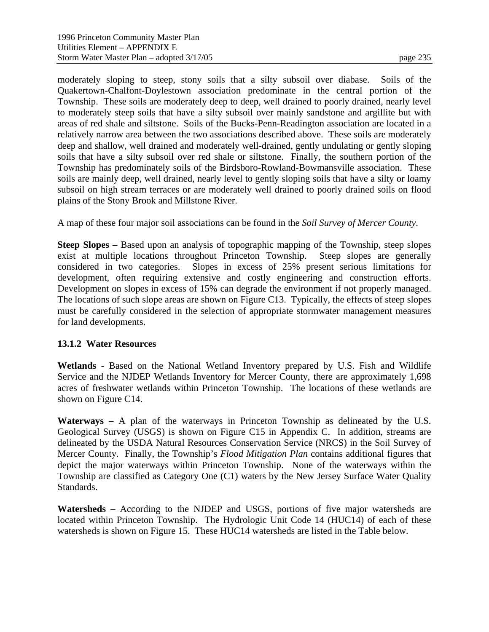moderately sloping to steep, stony soils that a silty subsoil over diabase. Soils of the Quakertown-Chalfont-Doylestown association predominate in the central portion of the Township. These soils are moderately deep to deep, well drained to poorly drained, nearly level to moderately steep soils that have a silty subsoil over mainly sandstone and argillite but with areas of red shale and siltstone. Soils of the Bucks-Penn-Readington association are located in a relatively narrow area between the two associations described above. These soils are moderately deep and shallow, well drained and moderately well-drained, gently undulating or gently sloping soils that have a silty subsoil over red shale or siltstone. Finally, the southern portion of the Township has predominately soils of the Birdsboro-Rowland-Bowmansville association. These soils are mainly deep, well drained, nearly level to gently sloping soils that have a silty or loamy subsoil on high stream terraces or are moderately well drained to poorly drained soils on flood plains of the Stony Brook and Millstone River.

A map of these four major soil associations can be found in the *Soil Survey of Mercer County*.

**Steep Slopes –** Based upon an analysis of topographic mapping of the Township, steep slopes exist at multiple locations throughout Princeton Township. Steep slopes are generally considered in two categories. Slopes in excess of 25% present serious limitations for development, often requiring extensive and costly engineering and construction efforts. Development on slopes in excess of 15% can degrade the environment if not properly managed. The locations of such slope areas are shown on Figure C13. Typically, the effects of steep slopes must be carefully considered in the selection of appropriate stormwater management measures for land developments.

### **13.1.2 Water Resources**

**Wetlands -** Based on the National Wetland Inventory prepared by U.S. Fish and Wildlife Service and the NJDEP Wetlands Inventory for Mercer County, there are approximately 1,698 acres of freshwater wetlands within Princeton Township. The locations of these wetlands are shown on Figure C14.

**Waterways –** A plan of the waterways in Princeton Township as delineated by the U.S. Geological Survey (USGS) is shown on Figure C15 in Appendix C. In addition, streams are delineated by the USDA Natural Resources Conservation Service (NRCS) in the Soil Survey of Mercer County. Finally, the Township's *Flood Mitigation Plan* contains additional figures that depict the major waterways within Princeton Township. None of the waterways within the Township are classified as Category One (C1) waters by the New Jersey Surface Water Quality Standards.

**Watersheds –** According to the NJDEP and USGS, portions of five major watersheds are located within Princeton Township. The Hydrologic Unit Code 14 (HUC14) of each of these watersheds is shown on Figure 15. These HUC14 watersheds are listed in the Table below.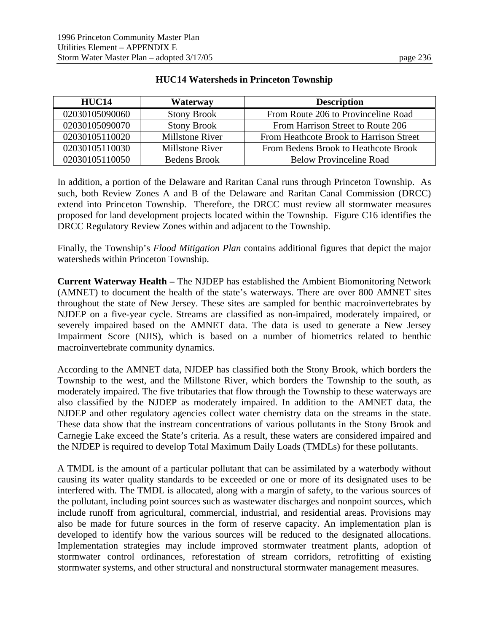| HUC <sub>14</sub> | Waterway               | <b>Description</b>                      |
|-------------------|------------------------|-----------------------------------------|
| 02030105090060    | <b>Stony Brook</b>     | From Route 206 to Provinceline Road     |
| 02030105090070    | <b>Stony Brook</b>     | From Harrison Street to Route 206       |
| 02030105110020    | Millstone River        | From Heathcote Brook to Harrison Street |
| 02030105110030    | <b>Millstone River</b> | From Bedens Brook to Heathcote Brook    |
| 02030105110050    | Bedens Brook           | <b>Below Provinceline Road</b>          |

## **HUC14 Watersheds in Princeton Township**

In addition, a portion of the Delaware and Raritan Canal runs through Princeton Township. As such, both Review Zones A and B of the Delaware and Raritan Canal Commission (DRCC) extend into Princeton Township. Therefore, the DRCC must review all stormwater measures proposed for land development projects located within the Township. Figure C16 identifies the DRCC Regulatory Review Zones within and adjacent to the Township.

Finally, the Township's *Flood Mitigation Plan* contains additional figures that depict the major watersheds within Princeton Township.

**Current Waterway Health –** The NJDEP has established the Ambient Biomonitoring Network (AMNET) to document the health of the state's waterways. There are over 800 AMNET sites throughout the state of New Jersey. These sites are sampled for benthic macroinvertebrates by NJDEP on a five-year cycle. Streams are classified as non-impaired, moderately impaired, or severely impaired based on the AMNET data. The data is used to generate a New Jersey Impairment Score (NJIS), which is based on a number of biometrics related to benthic macroinvertebrate community dynamics.

According to the AMNET data, NJDEP has classified both the Stony Brook, which borders the Township to the west, and the Millstone River, which borders the Township to the south, as moderately impaired. The five tributaries that flow through the Township to these waterways are also classified by the NJDEP as moderately impaired. In addition to the AMNET data, the NJDEP and other regulatory agencies collect water chemistry data on the streams in the state. These data show that the instream concentrations of various pollutants in the Stony Brook and Carnegie Lake exceed the State's criteria. As a result, these waters are considered impaired and the NJDEP is required to develop Total Maximum Daily Loads (TMDLs) for these pollutants.

A TMDL is the amount of a particular pollutant that can be assimilated by a waterbody without causing its water quality standards to be exceeded or one or more of its designated uses to be interfered with. The TMDL is allocated, along with a margin of safety, to the various sources of the pollutant, including point sources such as wastewater discharges and nonpoint sources, which include runoff from agricultural, commercial, industrial, and residential areas. Provisions may also be made for future sources in the form of reserve capacity. An implementation plan is developed to identify how the various sources will be reduced to the designated allocations. Implementation strategies may include improved stormwater treatment plants, adoption of stormwater control ordinances, reforestation of stream corridors, retrofitting of existing stormwater systems, and other structural and nonstructural stormwater management measures.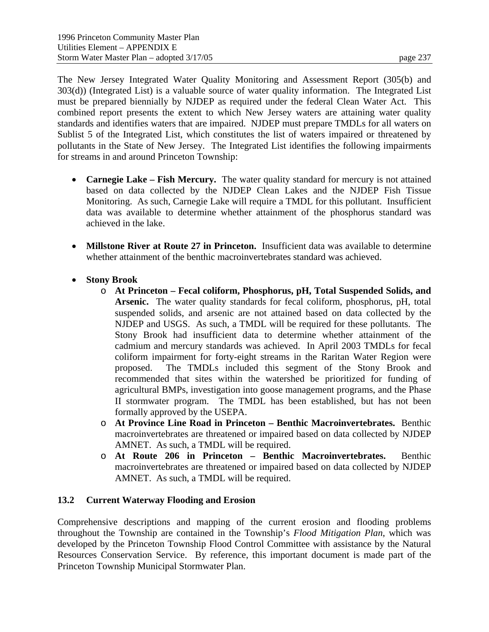The New Jersey Integrated Water Quality Monitoring and Assessment Report (305(b) and 303(d)) (Integrated List) is a valuable source of water quality information. The Integrated List must be prepared biennially by NJDEP as required under the federal Clean Water Act. This combined report presents the extent to which New Jersey waters are attaining water quality standards and identifies waters that are impaired. NJDEP must prepare TMDLs for all waters on Sublist 5 of the Integrated List, which constitutes the list of waters impaired or threatened by pollutants in the State of New Jersey. The Integrated List identifies the following impairments for streams in and around Princeton Township:

- **Carnegie Lake Fish Mercury.** The water quality standard for mercury is not attained based on data collected by the NJDEP Clean Lakes and the NJDEP Fish Tissue Monitoring. As such, Carnegie Lake will require a TMDL for this pollutant. Insufficient data was available to determine whether attainment of the phosphorus standard was achieved in the lake.
- **Millstone River at Route 27 in Princeton.** Insufficient data was available to determine whether attainment of the benthic macroinvertebrates standard was achieved.
- **Stony Brook** 
	- o **At Princeton Fecal coliform, Phosphorus, pH, Total Suspended Solids, and Arsenic.** The water quality standards for fecal coliform, phosphorus, pH, total suspended solids, and arsenic are not attained based on data collected by the NJDEP and USGS. As such, a TMDL will be required for these pollutants. The Stony Brook had insufficient data to determine whether attainment of the cadmium and mercury standards was achieved. In April 2003 TMDLs for fecal coliform impairment for forty-eight streams in the Raritan Water Region were proposed. The TMDLs included this segment of the Stony Brook and recommended that sites within the watershed be prioritized for funding of agricultural BMPs, investigation into goose management programs, and the Phase II stormwater program. The TMDL has been established, but has not been formally approved by the USEPA.
	- o **At Province Line Road in Princeton Benthic Macroinvertebrates.** Benthic macroinvertebrates are threatened or impaired based on data collected by NJDEP AMNET. As such, a TMDL will be required.
	- o **At Route 206 in Princeton Benthic Macroinvertebrates.** Benthic macroinvertebrates are threatened or impaired based on data collected by NJDEP AMNET. As such, a TMDL will be required.

# **13.2 Current Waterway Flooding and Erosion**

Comprehensive descriptions and mapping of the current erosion and flooding problems throughout the Township are contained in the Township's *Flood Mitigation Plan*, which was developed by the Princeton Township Flood Control Committee with assistance by the Natural Resources Conservation Service. By reference, this important document is made part of the Princeton Township Municipal Stormwater Plan.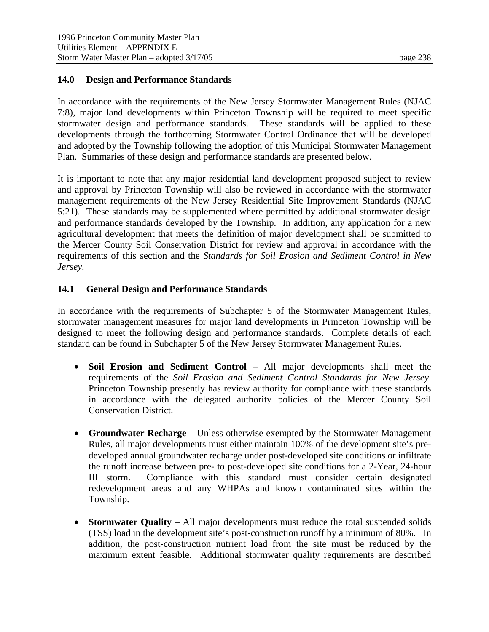## **14.0 Design and Performance Standards**

In accordance with the requirements of the New Jersey Stormwater Management Rules (NJAC 7:8), major land developments within Princeton Township will be required to meet specific stormwater design and performance standards. These standards will be applied to these developments through the forthcoming Stormwater Control Ordinance that will be developed and adopted by the Township following the adoption of this Municipal Stormwater Management Plan. Summaries of these design and performance standards are presented below.

It is important to note that any major residential land development proposed subject to review and approval by Princeton Township will also be reviewed in accordance with the stormwater management requirements of the New Jersey Residential Site Improvement Standards (NJAC 5:21). These standards may be supplemented where permitted by additional stormwater design and performance standards developed by the Township. In addition, any application for a new agricultural development that meets the definition of major development shall be submitted to the Mercer County Soil Conservation District for review and approval in accordance with the requirements of this section and the *Standards for Soil Erosion and Sediment Control in New Jersey.*

## **14.1 General Design and Performance Standards**

In accordance with the requirements of Subchapter 5 of the Stormwater Management Rules, stormwater management measures for major land developments in Princeton Township will be designed to meet the following design and performance standards. Complete details of each standard can be found in Subchapter 5 of the New Jersey Stormwater Management Rules.

- **Soil Erosion and Sediment Control** All major developments shall meet the requirements of the *Soil Erosion and Sediment Control Standards for New Jersey*. Princeton Township presently has review authority for compliance with these standards in accordance with the delegated authority policies of the Mercer County Soil Conservation District.
- **Groundwater Recharge** Unless otherwise exempted by the Stormwater Management Rules, all major developments must either maintain 100% of the development site's predeveloped annual groundwater recharge under post-developed site conditions or infiltrate the runoff increase between pre- to post-developed site conditions for a 2-Year, 24-hour III storm. Compliance with this standard must consider certain designated redevelopment areas and any WHPAs and known contaminated sites within the Township.
- **Stormwater Quality** All major developments must reduce the total suspended solids (TSS) load in the development site's post-construction runoff by a minimum of 80%. In addition, the post-construction nutrient load from the site must be reduced by the maximum extent feasible. Additional stormwater quality requirements are described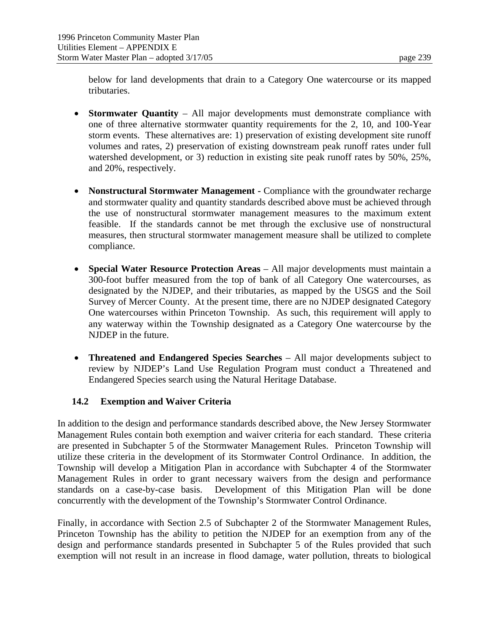below for land developments that drain to a Category One watercourse or its mapped tributaries.

- **Stormwater Quantity** All major developments must demonstrate compliance with one of three alternative stormwater quantity requirements for the 2, 10, and 100-Year storm events. These alternatives are: 1) preservation of existing development site runoff volumes and rates, 2) preservation of existing downstream peak runoff rates under full watershed development, or 3) reduction in existing site peak runoff rates by 50%, 25%, and 20%, respectively.
- **Nonstructural Stormwater Management -** Compliance with the groundwater recharge and stormwater quality and quantity standards described above must be achieved through the use of nonstructural stormwater management measures to the maximum extent feasible. If the standards cannot be met through the exclusive use of nonstructural measures, then structural stormwater management measure shall be utilized to complete compliance.
- **Special Water Resource Protection Areas**  All major developments must maintain a 300-foot buffer measured from the top of bank of all Category One watercourses, as designated by the NJDEP, and their tributaries, as mapped by the USGS and the Soil Survey of Mercer County. At the present time, there are no NJDEP designated Category One watercourses within Princeton Township. As such, this requirement will apply to any waterway within the Township designated as a Category One watercourse by the NJDEP in the future.
- **Threatened and Endangered Species Searches** All major developments subject to review by NJDEP's Land Use Regulation Program must conduct a Threatened and Endangered Species search using the Natural Heritage Database.

# **14.2 Exemption and Waiver Criteria**

In addition to the design and performance standards described above, the New Jersey Stormwater Management Rules contain both exemption and waiver criteria for each standard. These criteria are presented in Subchapter 5 of the Stormwater Management Rules. Princeton Township will utilize these criteria in the development of its Stormwater Control Ordinance. In addition, the Township will develop a Mitigation Plan in accordance with Subchapter 4 of the Stormwater Management Rules in order to grant necessary waivers from the design and performance standards on a case-by-case basis. Development of this Mitigation Plan will be done concurrently with the development of the Township's Stormwater Control Ordinance.

Finally, in accordance with Section 2.5 of Subchapter 2 of the Stormwater Management Rules, Princeton Township has the ability to petition the NJDEP for an exemption from any of the design and performance standards presented in Subchapter 5 of the Rules provided that such exemption will not result in an increase in flood damage, water pollution, threats to biological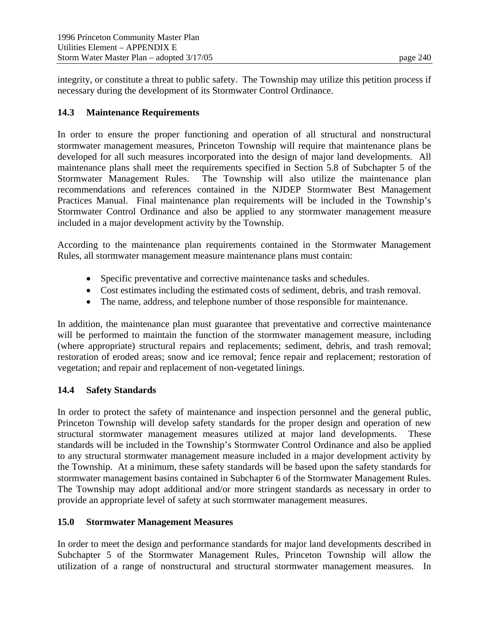integrity, or constitute a threat to public safety. The Township may utilize this petition process if necessary during the development of its Stormwater Control Ordinance.

## **14.3 Maintenance Requirements**

In order to ensure the proper functioning and operation of all structural and nonstructural stormwater management measures, Princeton Township will require that maintenance plans be developed for all such measures incorporated into the design of major land developments. All maintenance plans shall meet the requirements specified in Section 5.8 of Subchapter 5 of the Stormwater Management Rules. The Township will also utilize the maintenance plan recommendations and references contained in the NJDEP Stormwater Best Management Practices Manual. Final maintenance plan requirements will be included in the Township's Stormwater Control Ordinance and also be applied to any stormwater management measure included in a major development activity by the Township.

According to the maintenance plan requirements contained in the Stormwater Management Rules, all stormwater management measure maintenance plans must contain:

- Specific preventative and corrective maintenance tasks and schedules.
- Cost estimates including the estimated costs of sediment, debris, and trash removal.
- The name, address, and telephone number of those responsible for maintenance.

In addition, the maintenance plan must guarantee that preventative and corrective maintenance will be performed to maintain the function of the stormwater management measure, including (where appropriate) structural repairs and replacements; sediment, debris, and trash removal; restoration of eroded areas; snow and ice removal; fence repair and replacement; restoration of vegetation; and repair and replacement of non-vegetated linings.

# **14.4 Safety Standards**

In order to protect the safety of maintenance and inspection personnel and the general public, Princeton Township will develop safety standards for the proper design and operation of new structural stormwater management measures utilized at major land developments. These standards will be included in the Township's Stormwater Control Ordinance and also be applied to any structural stormwater management measure included in a major development activity by the Township. At a minimum, these safety standards will be based upon the safety standards for stormwater management basins contained in Subchapter 6 of the Stormwater Management Rules. The Township may adopt additional and/or more stringent standards as necessary in order to provide an appropriate level of safety at such stormwater management measures.

# **15.0 Stormwater Management Measures**

In order to meet the design and performance standards for major land developments described in Subchapter 5 of the Stormwater Management Rules, Princeton Township will allow the utilization of a range of nonstructural and structural stormwater management measures. In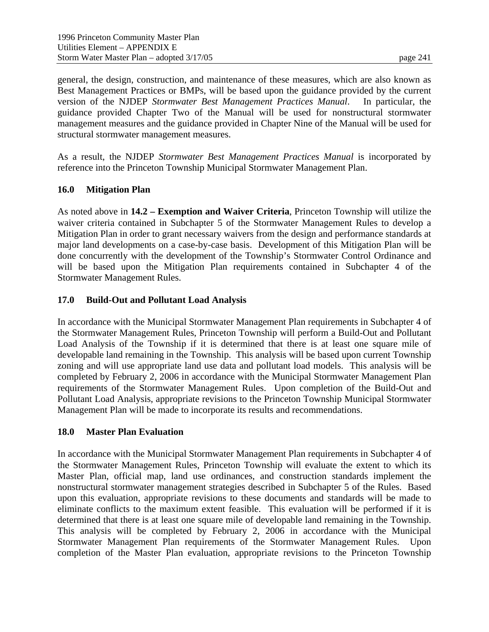general, the design, construction, and maintenance of these measures, which are also known as Best Management Practices or BMPs, will be based upon the guidance provided by the current version of the NJDEP *Stormwater Best Management Practices Manual*. In particular, the guidance provided Chapter Two of the Manual will be used for nonstructural stormwater management measures and the guidance provided in Chapter Nine of the Manual will be used for structural stormwater management measures.

As a result, the NJDEP *Stormwater Best Management Practices Manual* is incorporated by reference into the Princeton Township Municipal Stormwater Management Plan.

## **16.0 Mitigation Plan**

As noted above in **14.2 – Exemption and Waiver Criteria**, Princeton Township will utilize the waiver criteria contained in Subchapter 5 of the Stormwater Management Rules to develop a Mitigation Plan in order to grant necessary waivers from the design and performance standards at major land developments on a case-by-case basis. Development of this Mitigation Plan will be done concurrently with the development of the Township's Stormwater Control Ordinance and will be based upon the Mitigation Plan requirements contained in Subchapter 4 of the Stormwater Management Rules.

### **17.0 Build-Out and Pollutant Load Analysis**

In accordance with the Municipal Stormwater Management Plan requirements in Subchapter 4 of the Stormwater Management Rules, Princeton Township will perform a Build-Out and Pollutant Load Analysis of the Township if it is determined that there is at least one square mile of developable land remaining in the Township. This analysis will be based upon current Township zoning and will use appropriate land use data and pollutant load models. This analysis will be completed by February 2, 2006 in accordance with the Municipal Stormwater Management Plan requirements of the Stormwater Management Rules. Upon completion of the Build-Out and Pollutant Load Analysis, appropriate revisions to the Princeton Township Municipal Stormwater Management Plan will be made to incorporate its results and recommendations.

### **18.0 Master Plan Evaluation**

In accordance with the Municipal Stormwater Management Plan requirements in Subchapter 4 of the Stormwater Management Rules, Princeton Township will evaluate the extent to which its Master Plan, official map, land use ordinances, and construction standards implement the nonstructural stormwater management strategies described in Subchapter 5 of the Rules. Based upon this evaluation, appropriate revisions to these documents and standards will be made to eliminate conflicts to the maximum extent feasible. This evaluation will be performed if it is determined that there is at least one square mile of developable land remaining in the Township. This analysis will be completed by February 2, 2006 in accordance with the Municipal Stormwater Management Plan requirements of the Stormwater Management Rules. Upon completion of the Master Plan evaluation, appropriate revisions to the Princeton Township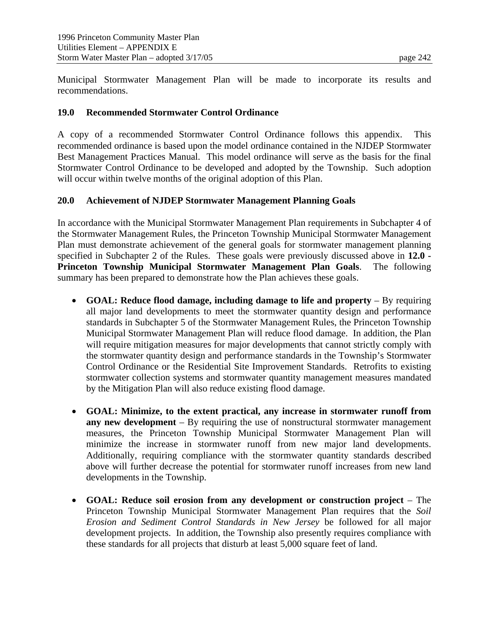Municipal Stormwater Management Plan will be made to incorporate its results and recommendations.

### **19.0 Recommended Stormwater Control Ordinance**

A copy of a recommended Stormwater Control Ordinance follows this appendix. This recommended ordinance is based upon the model ordinance contained in the NJDEP Stormwater Best Management Practices Manual. This model ordinance will serve as the basis for the final Stormwater Control Ordinance to be developed and adopted by the Township. Such adoption will occur within twelve months of the original adoption of this Plan.

#### **20.0 Achievement of NJDEP Stormwater Management Planning Goals**

In accordance with the Municipal Stormwater Management Plan requirements in Subchapter 4 of the Stormwater Management Rules, the Princeton Township Municipal Stormwater Management Plan must demonstrate achievement of the general goals for stormwater management planning specified in Subchapter 2 of the Rules. These goals were previously discussed above in **12.0 - Princeton Township Municipal Stormwater Management Plan Goals**. The following summary has been prepared to demonstrate how the Plan achieves these goals.

- **GOAL: Reduce flood damage, including damage to life and property** By requiring all major land developments to meet the stormwater quantity design and performance standards in Subchapter 5 of the Stormwater Management Rules, the Princeton Township Municipal Stormwater Management Plan will reduce flood damage. In addition, the Plan will require mitigation measures for major developments that cannot strictly comply with the stormwater quantity design and performance standards in the Township's Stormwater Control Ordinance or the Residential Site Improvement Standards. Retrofits to existing stormwater collection systems and stormwater quantity management measures mandated by the Mitigation Plan will also reduce existing flood damage.
- **GOAL: Minimize, to the extent practical, any increase in stormwater runoff from any new development** – By requiring the use of nonstructural stormwater management measures, the Princeton Township Municipal Stormwater Management Plan will minimize the increase in stormwater runoff from new major land developments. Additionally, requiring compliance with the stormwater quantity standards described above will further decrease the potential for stormwater runoff increases from new land developments in the Township.
- **GOAL: Reduce soil erosion from any development or construction project** The Princeton Township Municipal Stormwater Management Plan requires that the *Soil Erosion and Sediment Control Standards in New Jersey* be followed for all major development projects. In addition, the Township also presently requires compliance with these standards for all projects that disturb at least 5,000 square feet of land.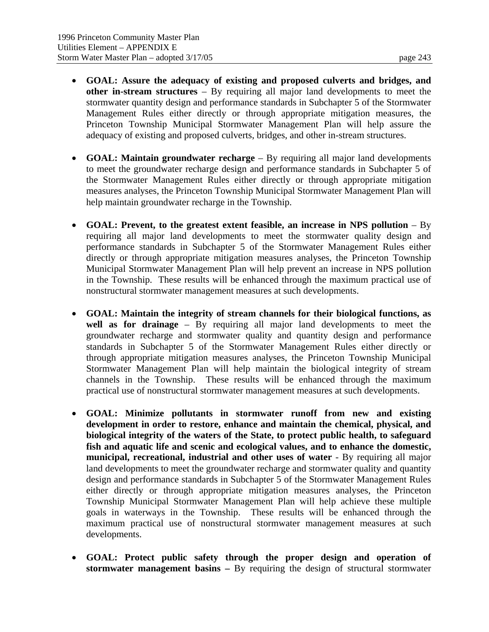- **GOAL: Assure the adequacy of existing and proposed culverts and bridges, and other in-stream structures** – By requiring all major land developments to meet the stormwater quantity design and performance standards in Subchapter 5 of the Stormwater Management Rules either directly or through appropriate mitigation measures, the Princeton Township Municipal Stormwater Management Plan will help assure the adequacy of existing and proposed culverts, bridges, and other in-stream structures.
- **GOAL: Maintain groundwater recharge**  By requiring all major land developments to meet the groundwater recharge design and performance standards in Subchapter 5 of the Stormwater Management Rules either directly or through appropriate mitigation measures analyses, the Princeton Township Municipal Stormwater Management Plan will help maintain groundwater recharge in the Township.
- **GOAL: Prevent, to the greatest extent feasible, an increase in NPS pollution**  By requiring all major land developments to meet the stormwater quality design and performance standards in Subchapter 5 of the Stormwater Management Rules either directly or through appropriate mitigation measures analyses, the Princeton Township Municipal Stormwater Management Plan will help prevent an increase in NPS pollution in the Township. These results will be enhanced through the maximum practical use of nonstructural stormwater management measures at such developments.
- **GOAL: Maintain the integrity of stream channels for their biological functions, as well as for drainage** – By requiring all major land developments to meet the groundwater recharge and stormwater quality and quantity design and performance standards in Subchapter 5 of the Stormwater Management Rules either directly or through appropriate mitigation measures analyses, the Princeton Township Municipal Stormwater Management Plan will help maintain the biological integrity of stream channels in the Township. These results will be enhanced through the maximum practical use of nonstructural stormwater management measures at such developments.
- **GOAL: Minimize pollutants in stormwater runoff from new and existing development in order to restore, enhance and maintain the chemical, physical, and biological integrity of the waters of the State, to protect public health, to safeguard fish and aquatic life and scenic and ecological values, and to enhance the domestic, municipal, recreational, industrial and other uses of water** - By requiring all major land developments to meet the groundwater recharge and stormwater quality and quantity design and performance standards in Subchapter 5 of the Stormwater Management Rules either directly or through appropriate mitigation measures analyses, the Princeton Township Municipal Stormwater Management Plan will help achieve these multiple goals in waterways in the Township. These results will be enhanced through the maximum practical use of nonstructural stormwater management measures at such developments.
- **GOAL: Protect public safety through the proper design and operation of stormwater management basins –** By requiring the design of structural stormwater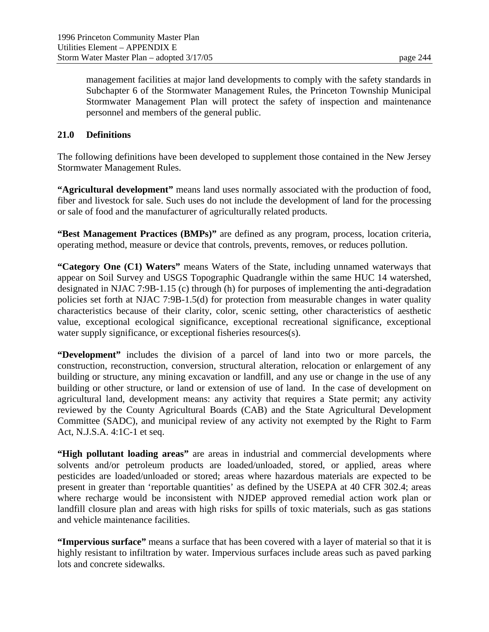management facilities at major land developments to comply with the safety standards in Subchapter 6 of the Stormwater Management Rules, the Princeton Township Municipal Stormwater Management Plan will protect the safety of inspection and maintenance personnel and members of the general public.

### **21.0 Definitions**

The following definitions have been developed to supplement those contained in the New Jersey Stormwater Management Rules.

**"Agricultural development"** means land uses normally associated with the production of food, fiber and livestock for sale. Such uses do not include the development of land for the processing or sale of food and the manufacturer of agriculturally related products.

**"Best Management Practices (BMPs)"** are defined as any program, process, location criteria, operating method, measure or device that controls, prevents, removes, or reduces pollution.

**"Category One (C1) Waters"** means Waters of the State, including unnamed waterways that appear on Soil Survey and USGS Topographic Quadrangle within the same HUC 14 watershed, designated in NJAC 7:9B-1.15 (c) through (h) for purposes of implementing the anti-degradation policies set forth at NJAC 7:9B-1.5(d) for protection from measurable changes in water quality characteristics because of their clarity, color, scenic setting, other characteristics of aesthetic value, exceptional ecological significance, exceptional recreational significance, exceptional water supply significance, or exceptional fisheries resources(s).

**"Development"** includes the division of a parcel of land into two or more parcels, the construction, reconstruction, conversion, structural alteration, relocation or enlargement of any building or structure, any mining excavation or landfill, and any use or change in the use of any building or other structure, or land or extension of use of land. In the case of development on agricultural land, development means: any activity that requires a State permit; any activity reviewed by the County Agricultural Boards (CAB) and the State Agricultural Development Committee (SADC), and municipal review of any activity not exempted by the Right to Farm Act, N.J.S.A. 4:1C-1 et seq.

**"High pollutant loading areas"** are areas in industrial and commercial developments where solvents and/or petroleum products are loaded/unloaded, stored, or applied, areas where pesticides are loaded/unloaded or stored; areas where hazardous materials are expected to be present in greater than 'reportable quantities' as defined by the USEPA at 40 CFR 302.4; areas where recharge would be inconsistent with NJDEP approved remedial action work plan or landfill closure plan and areas with high risks for spills of toxic materials, such as gas stations and vehicle maintenance facilities.

**"Impervious surface"** means a surface that has been covered with a layer of material so that it is highly resistant to infiltration by water. Impervious surfaces include areas such as paved parking lots and concrete sidewalks.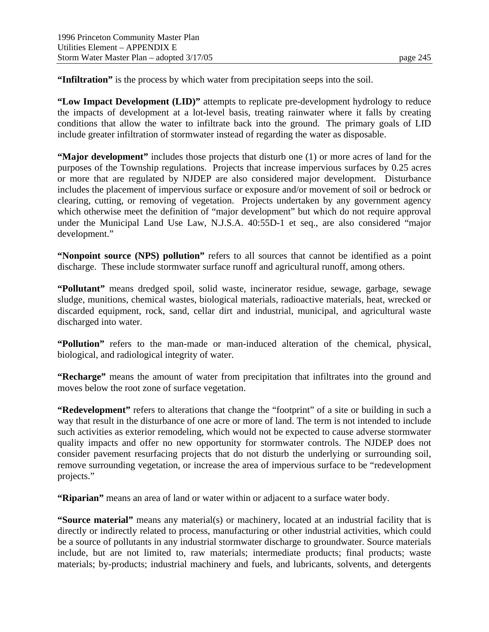**"Infiltration"** is the process by which water from precipitation seeps into the soil.

**"Low Impact Development (LID)"** attempts to replicate pre-development hydrology to reduce the impacts of development at a lot-level basis, treating rainwater where it falls by creating conditions that allow the water to infiltrate back into the ground. The primary goals of LID include greater infiltration of stormwater instead of regarding the water as disposable.

**"Major development"** includes those projects that disturb one (1) or more acres of land for the purposes of the Township regulations. Projects that increase impervious surfaces by 0.25 acres or more that are regulated by NJDEP are also considered major development. Disturbance includes the placement of impervious surface or exposure and/or movement of soil or bedrock or clearing, cutting, or removing of vegetation. Projects undertaken by any government agency which otherwise meet the definition of "major development" but which do not require approval under the Municipal Land Use Law, N.J.S.A. 40:55D-1 et seq., are also considered "major development."

**"Nonpoint source (NPS) pollution"** refers to all sources that cannot be identified as a point discharge. These include stormwater surface runoff and agricultural runoff, among others.

**"Pollutant"** means dredged spoil, solid waste, incinerator residue, sewage, garbage, sewage sludge, munitions, chemical wastes, biological materials, radioactive materials, heat, wrecked or discarded equipment, rock, sand, cellar dirt and industrial, municipal, and agricultural waste discharged into water.

**"Pollution"** refers to the man-made or man-induced alteration of the chemical, physical, biological, and radiological integrity of water.

**"Recharge"** means the amount of water from precipitation that infiltrates into the ground and moves below the root zone of surface vegetation.

**"Redevelopment"** refers to alterations that change the "footprint" of a site or building in such a way that result in the disturbance of one acre or more of land. The term is not intended to include such activities as exterior remodeling, which would not be expected to cause adverse stormwater quality impacts and offer no new opportunity for stormwater controls. The NJDEP does not consider pavement resurfacing projects that do not disturb the underlying or surrounding soil, remove surrounding vegetation, or increase the area of impervious surface to be "redevelopment projects."

**"Riparian"** means an area of land or water within or adjacent to a surface water body.

**"Source material"** means any material(s) or machinery, located at an industrial facility that is directly or indirectly related to process, manufacturing or other industrial activities, which could be a source of pollutants in any industrial stormwater discharge to groundwater. Source materials include, but are not limited to, raw materials; intermediate products; final products; waste materials; by-products; industrial machinery and fuels, and lubricants, solvents, and detergents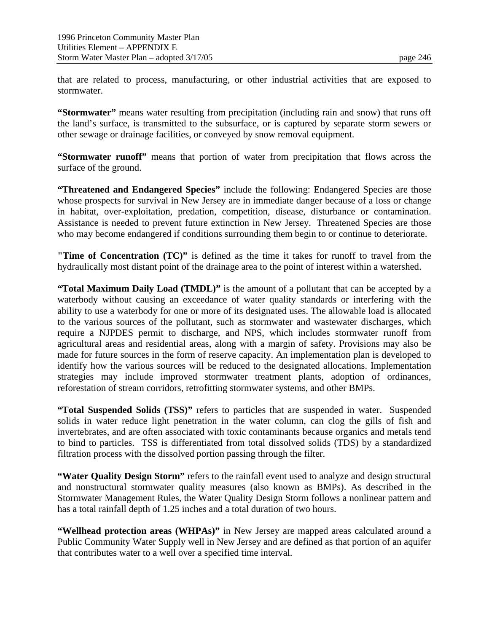that are related to process, manufacturing, or other industrial activities that are exposed to stormwater.

**"Stormwater"** means water resulting from precipitation (including rain and snow) that runs off the land's surface, is transmitted to the subsurface, or is captured by separate storm sewers or other sewage or drainage facilities, or conveyed by snow removal equipment.

**"Stormwater runoff"** means that portion of water from precipitation that flows across the surface of the ground.

**"Threatened and Endangered Species"** include the following: Endangered Species are those whose prospects for survival in New Jersey are in immediate danger because of a loss or change in habitat, over-exploitation, predation, competition, disease, disturbance or contamination. Assistance is needed to prevent future extinction in New Jersey. Threatened Species are those who may become endangered if conditions surrounding them begin to or continue to deteriorate.

**"Time of Concentration (TC)"** is defined as the time it takes for runoff to travel from the hydraulically most distant point of the drainage area to the point of interest within a watershed.

**"Total Maximum Daily Load (TMDL)"** is the amount of a pollutant that can be accepted by a waterbody without causing an exceedance of water quality standards or interfering with the ability to use a waterbody for one or more of its designated uses. The allowable load is allocated to the various sources of the pollutant, such as stormwater and wastewater discharges, which require a NJPDES permit to discharge, and NPS, which includes stormwater runoff from agricultural areas and residential areas, along with a margin of safety. Provisions may also be made for future sources in the form of reserve capacity. An implementation plan is developed to identify how the various sources will be reduced to the designated allocations. Implementation strategies may include improved stormwater treatment plants, adoption of ordinances, reforestation of stream corridors, retrofitting stormwater systems, and other BMPs.

**"Total Suspended Solids (TSS)"** refers to particles that are suspended in water. Suspended solids in water reduce light penetration in the water column, can clog the gills of fish and invertebrates, and are often associated with toxic contaminants because organics and metals tend to bind to particles. TSS is differentiated from total dissolved solids (TDS) by a standardized filtration process with the dissolved portion passing through the filter.

**"Water Quality Design Storm"** refers to the rainfall event used to analyze and design structural and nonstructural stormwater quality measures (also known as BMPs). As described in the Stormwater Management Rules, the Water Quality Design Storm follows a nonlinear pattern and has a total rainfall depth of 1.25 inches and a total duration of two hours.

**"Wellhead protection areas (WHPAs)"** in New Jersey are mapped areas calculated around a Public Community Water Supply well in New Jersey and are defined as that portion of an aquifer that contributes water to a well over a specified time interval.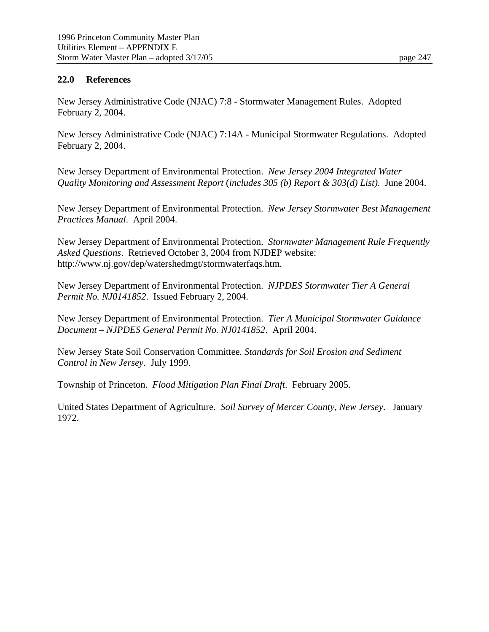#### **22.0 References**

New Jersey Administrative Code (NJAC) 7:8 - Stormwater Management Rules. Adopted February 2, 2004.

New Jersey Administrative Code (NJAC) 7:14A - Municipal Stormwater Regulations. Adopted February 2, 2004.

New Jersey Department of Environmental Protection. *New Jersey 2004 Integrated Water Quality Monitoring and Assessment Report* (*includes 305 (b) Report & 303(d) List)*. June 2004.

New Jersey Department of Environmental Protection. *New Jersey Stormwater Best Management Practices Manual*. April 2004.

New Jersey Department of Environmental Protection. *Stormwater Management Rule Frequently Asked Questions*. Retrieved October 3, 2004 from NJDEP website: http://www.nj.gov/dep/watershedmgt/stormwaterfaqs.htm.

New Jersey Department of Environmental Protection. *NJPDES Stormwater Tier A General Permit No. NJ0141852*. Issued February 2, 2004.

New Jersey Department of Environmental Protection. *Tier A Municipal Stormwater Guidance Document – NJPDES General Permit No. NJ0141852*. April 2004.

New Jersey State Soil Conservation Committee*. Standards for Soil Erosion and Sediment Control in New Jersey*. July 1999.

Township of Princeton. *Flood Mitigation Plan Final Draft*. February 2005.

United States Department of Agriculture. *Soil Survey of Mercer County, New Jersey*. January 1972.